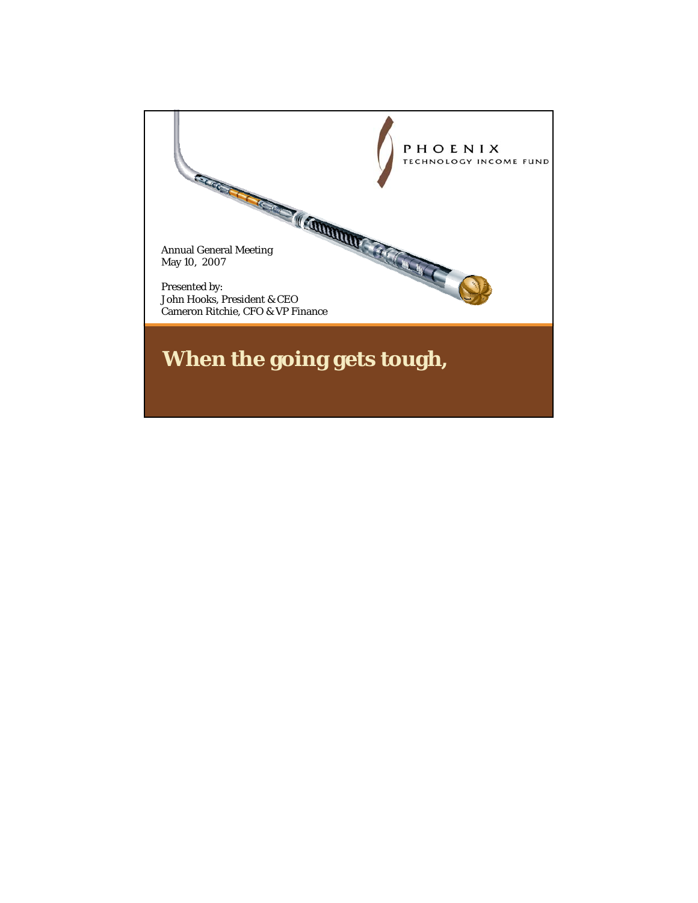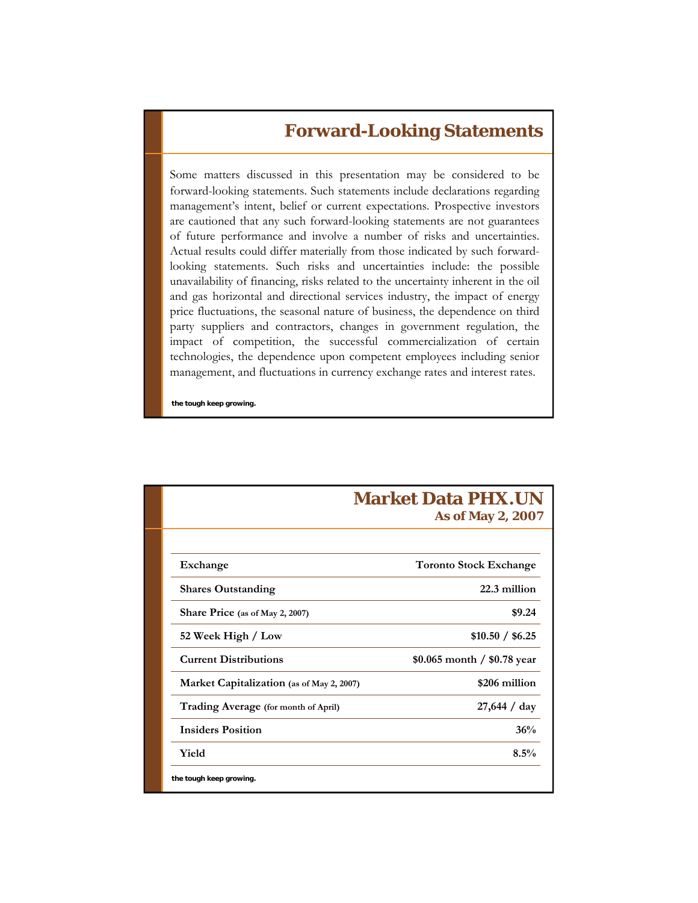## **Forward-Looking Statements**

Some matters discussed in this presentation may be considered to be forward-looking statements. Such statements include declarations regarding management's intent, belief or current expectations. Prospective investors are cautioned that any such forward-looking statements are not guarantees of future performance and involve a number of risks and uncertainties. Actual results could differ materially from those indicated by such forwardlooking statements. Such risks and uncertainties include: the possible unavailability of financing, risks related to the uncertainty inherent in the oil and gas horizontal and directional services industry, the impact of energy price fluctuations, the seasonal nature of business, the dependence on third party suppliers and contractors, changes in government regulation, the impact of competition, the successful commercialization of certain technologies, the dependence upon competent employees including senior management, and fluctuations in currency exchange rates and interest rates.

**the tough keep growing.**

|                                           | <b>Market Data PHX.UN</b><br>As of May 2, 2007 |
|-------------------------------------------|------------------------------------------------|
|                                           |                                                |
| Exchange                                  | <b>Toronto Stock Exchange</b>                  |
| <b>Shares Outstanding</b>                 | 22.3 million                                   |
| Share Price (as of May 2, 2007)           | \$9.24                                         |
| 52 Week High / Low                        | \$10.50 / \$6.25                               |
| <b>Current Distributions</b>              | \$0.065 month $/$ \$0.78 year                  |
| Market Capitalization (as of May 2, 2007) | \$206 million                                  |
| Trading Average (for month of April)      | 27,644 / day                                   |
| <b>Insiders Position</b>                  | 36%                                            |
| Yield                                     | 8.5%                                           |
| the tough keep growing.                   |                                                |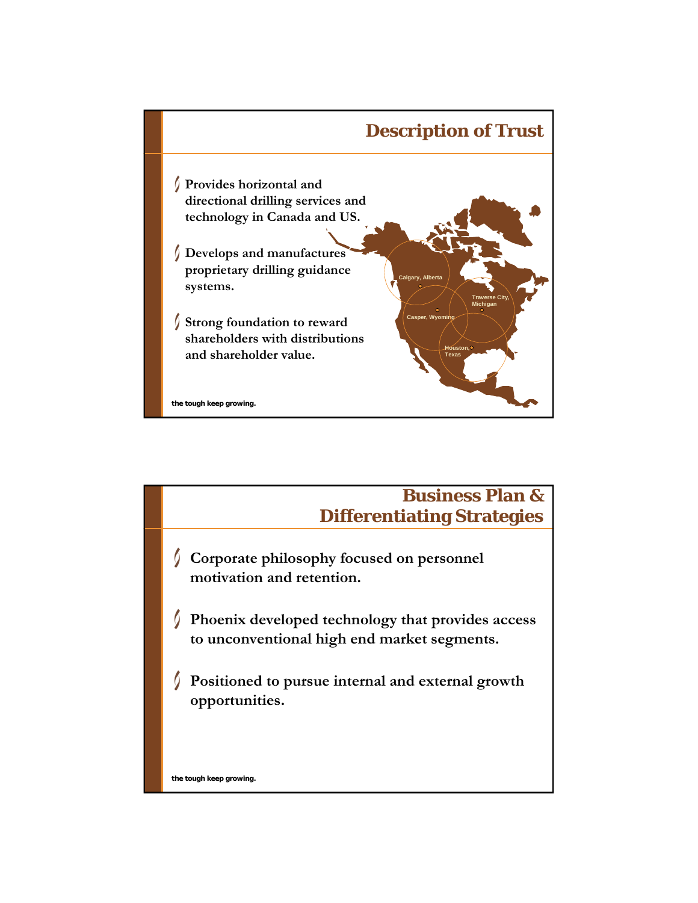

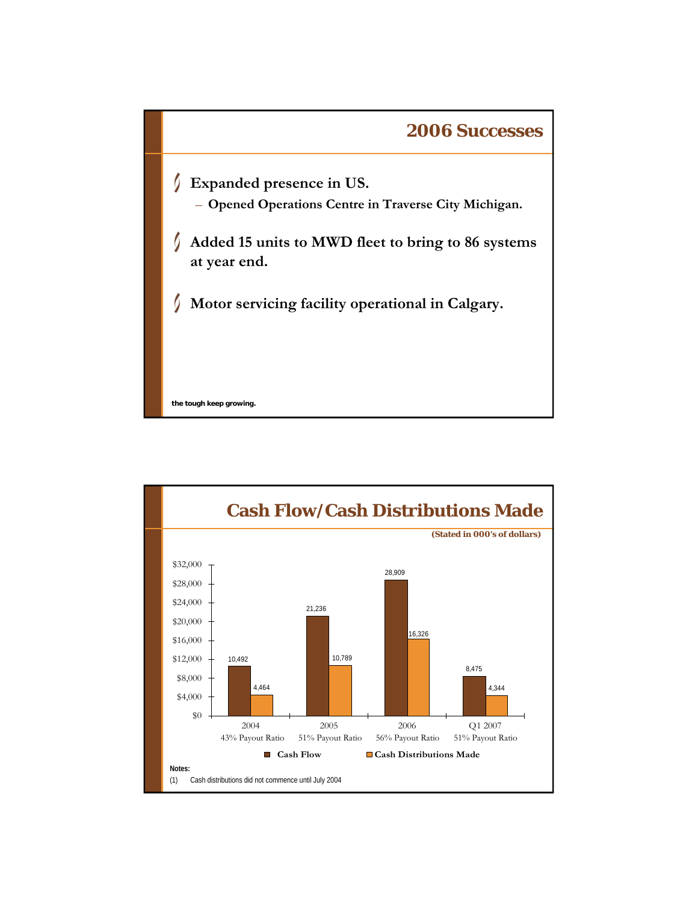

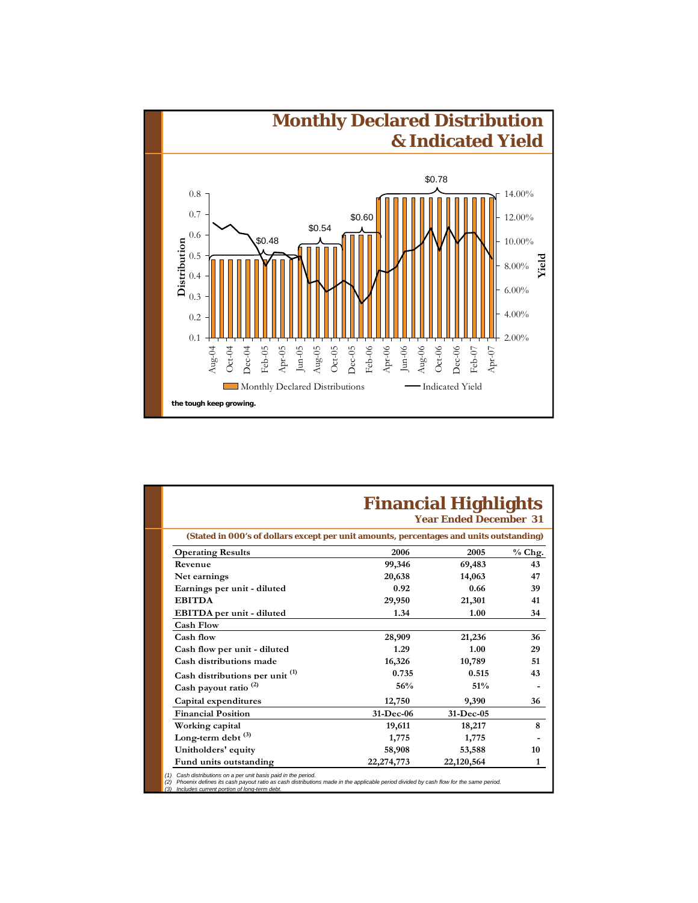

|                                                                                         |            | <b>Financial Highlights</b><br><b>Year Ended December 31</b> |              |
|-----------------------------------------------------------------------------------------|------------|--------------------------------------------------------------|--------------|
| (Stated in 000's of dollars except per unit amounts, percentages and units outstanding) |            |                                                              |              |
| <b>Operating Results</b>                                                                | 2006       | 2005                                                         | $%$ Chg.     |
| Revenue                                                                                 | 99,346     | 69,483                                                       | 43           |
| Net earnings                                                                            | 20,638     | 14,063                                                       | 47           |
| Earnings per unit - diluted                                                             | 0.92       | 0.66                                                         | 39           |
| <b>EBITDA</b>                                                                           | 29,950     | 21,301                                                       | 41           |
| EBITDA per unit - diluted                                                               | 1.34       | 1.00                                                         | 34           |
| <b>Cash Flow</b>                                                                        |            |                                                              |              |
| Cash flow                                                                               | 28,909     | 21,236                                                       | 36           |
| Cash flow per unit - diluted                                                            | 1.29       | 1.00                                                         | 29           |
| Cash distributions made                                                                 | 16,326     | 10,789                                                       | 51           |
| Cash distributions per unit <sup>(1)</sup>                                              | 0.735      | 0.515                                                        | 43           |
| Cash payout ratio <sup>(2)</sup>                                                        | 56%        | 51%                                                          |              |
| Capital expenditures                                                                    | 12,750     | 9,390                                                        | 36           |
| <b>Financial Position</b>                                                               | 31-Dec-06  | 31-Dec-05                                                    |              |
| Working capital                                                                         | 19,611     | 18,217                                                       | 8            |
| Long-term debt <sup>(3)</sup>                                                           | 1,775      | 1,775                                                        |              |
| Unitholders' equity                                                                     | 58,908     | 53,588                                                       | 10           |
| Fund units outstanding                                                                  | 22,274,773 | 22,120,564                                                   | $\mathbf{1}$ |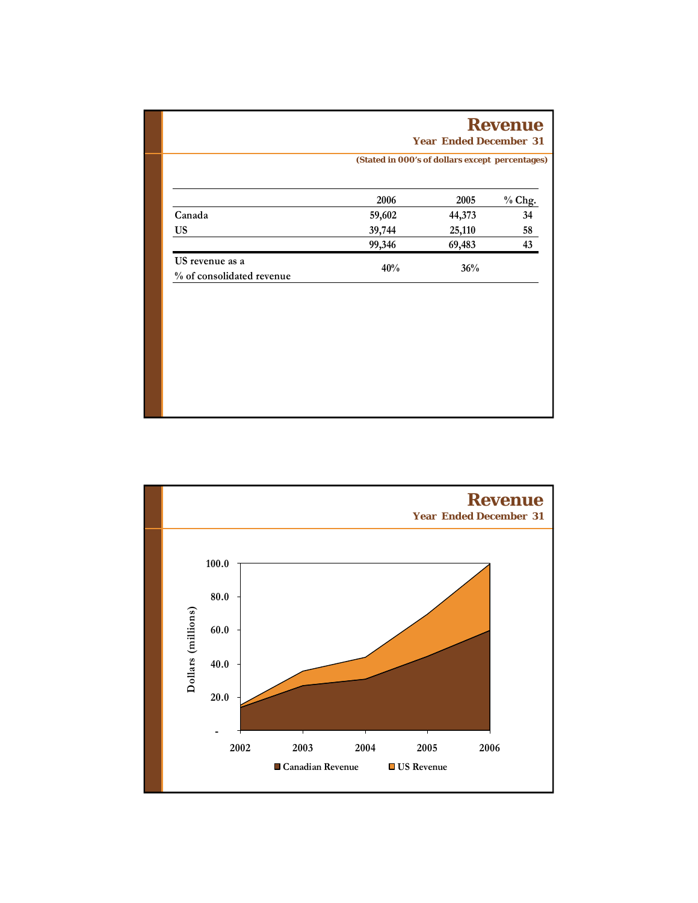|                                              | (Stated in 000's of dollars except percentages) |        |        |
|----------------------------------------------|-------------------------------------------------|--------|--------|
|                                              | 2006                                            | 2005   | % Chg. |
| Canada                                       | 59,602                                          | 44,373 | 34     |
| <b>US</b>                                    | 39,744                                          | 25,110 | 58     |
|                                              | 99,346                                          | 69,483 | 43     |
| US revenue as a<br>% of consolidated revenue | 40%                                             | 36%    |        |
|                                              |                                                 |        |        |
|                                              |                                                 |        |        |
|                                              |                                                 |        |        |
|                                              |                                                 |        |        |

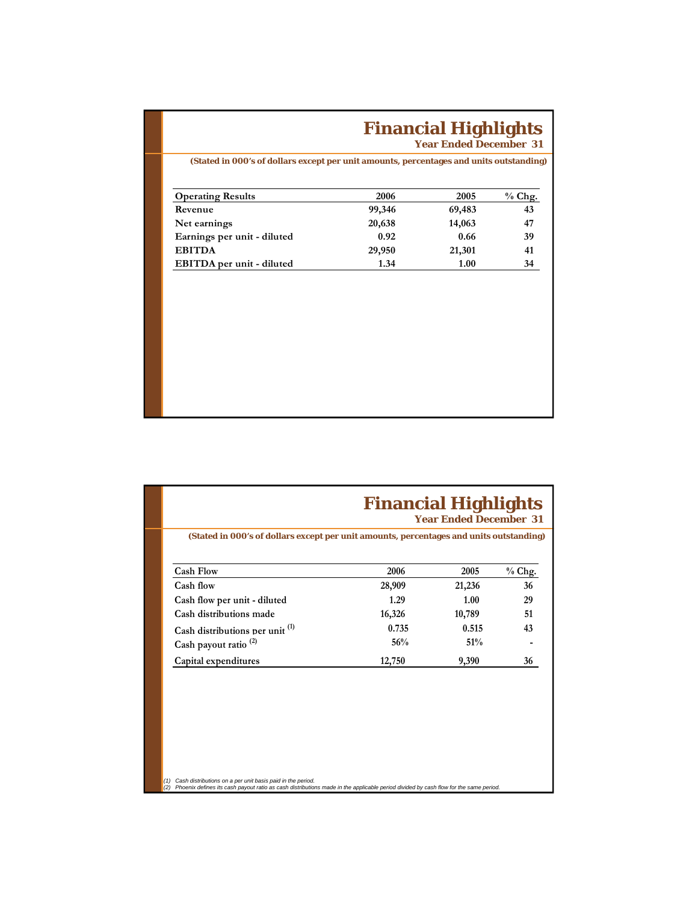## **Financial Highlights**

**Year Ended December 31**

**(Stated in 000's of dollars except per unit amounts, percentages and units outstanding)**

| <b>Operating Results</b>    | 2006   | 2005   | $%$ Chg. |
|-----------------------------|--------|--------|----------|
| Revenue                     | 99,346 | 69,483 | 43       |
| Net earnings                | 20,638 | 14,063 | 47       |
| Earnings per unit - diluted | 0.92   | 0.66   | 39       |
| <b>EBITDA</b>               | 29,950 | 21,301 | 41       |
| EBITDA per unit - diluted   | 1.34   | 1.00   | 34       |

| <b>Cash Flow</b>                  | 2006   | 2005   | % Chg. |
|-----------------------------------|--------|--------|--------|
| Cash flow                         | 28,909 | 21,236 | 36     |
| Cash flow per unit - diluted      | 1.29   | 1.00   | 29     |
| Cash distributions made           | 16,326 | 10,789 | 51     |
| Cash distributions per unit $(1)$ | 0.735  | 0.515  | 43     |
| Cash payout ratio <sup>(2)</sup>  | 56%    | 51%    |        |
| Capital expenditures              | 12,750 | 9,390  | 36     |
|                                   |        |        |        |

.<br>(1) Cash distributions on a per unit basis paid in the period.<br>(2) Phoenix defines its cash payout ratio as cash distributions made in the applicable period divided by cash flow for the same period.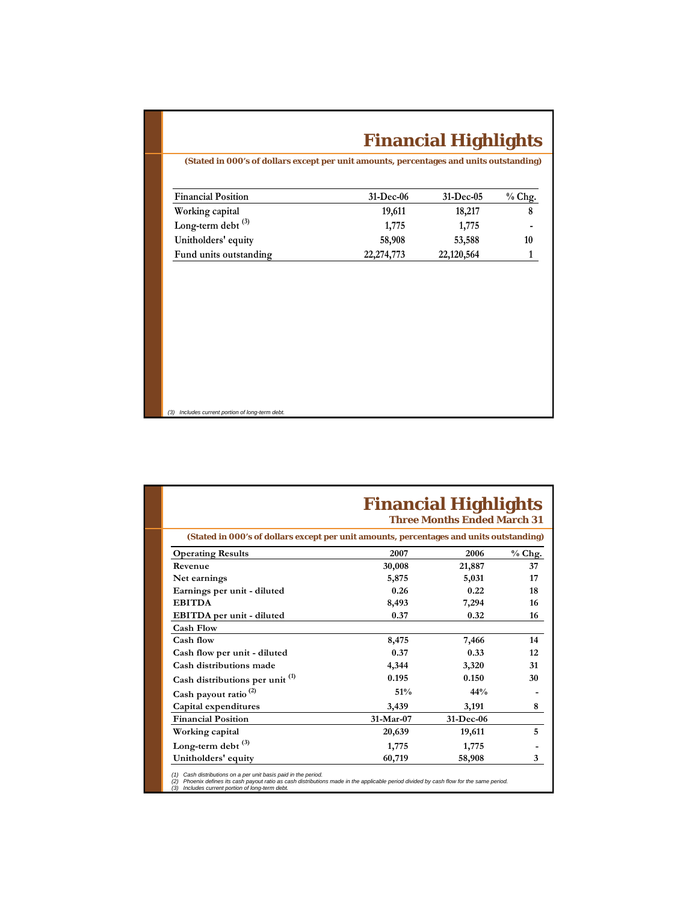## **Financial Highlights**

**(Stated in 000's of dollars except per unit amounts, percentages and units outstanding)**

| <b>Financial Position</b> | 31-Dec-06    | $31-Dec-05$ | $%$ Chg. |
|---------------------------|--------------|-------------|----------|
| Working capital           | 19,611       | 18,217      | 8        |
| Long-term debt $^{(3)}$   | 1,775        | 1,775       |          |
| Unitholders' equity       | 58,908       | 53,588      | 10       |
| Fund units outstanding    | 22, 274, 773 | 22,120,564  |          |

**the tough keep growing.** *(3) Includes current portion of long-term debt.*

|                                                                                         |           | <b>Financial Highlights</b><br><b>Three Months Ended March 31</b> |          |
|-----------------------------------------------------------------------------------------|-----------|-------------------------------------------------------------------|----------|
| (Stated in 000's of dollars except per unit amounts, percentages and units outstanding) |           |                                                                   |          |
| <b>Operating Results</b>                                                                | 2007      | 2006                                                              | $%$ Chg. |
| Revenue                                                                                 | 30,008    | 21,887                                                            | 37       |
| Net earnings                                                                            | 5,875     | 5,031                                                             | 17       |
| Earnings per unit - diluted                                                             | 0.26      | 0.22                                                              | 18       |
| <b>EBITDA</b>                                                                           | 8,493     | 7,294                                                             | 16       |
| EBITDA per unit - diluted                                                               | 0.37      | 0.32                                                              | 16       |
| <b>Cash Flow</b>                                                                        |           |                                                                   |          |
| Cash flow                                                                               | 8,475     | 7,466                                                             | 14       |
| Cash flow per unit - diluted                                                            | 0.37      | 0.33                                                              | 12       |
| Cash distributions made                                                                 | 4,344     | 3,320                                                             | 31       |
| Cash distributions per unit <sup>(1)</sup>                                              | 0.195     | 0.150                                                             | 30       |
| Cash payout ratio <sup>(2)</sup>                                                        | 51%       | 44%                                                               |          |
| Capital expenditures                                                                    | 3,439     | 3,191                                                             | 8        |
| <b>Financial Position</b>                                                               | 31-Mar-07 | 31-Dec-06                                                         |          |
| Working capital                                                                         | 20,639    | 19,611                                                            | 5        |
| Long-term debt <sup>(3)</sup>                                                           | 1,775     | 1,775                                                             |          |
| Unitholders' equity                                                                     | 60,719    | 58,908                                                            | 3        |

(1) Cash distributions on a per unit basis paid in the period.<br>(2) Phoenix defines its cash payout ratio as cash distributions made in the applicable period divided by cash flow for the same period.<br>(3) Includes current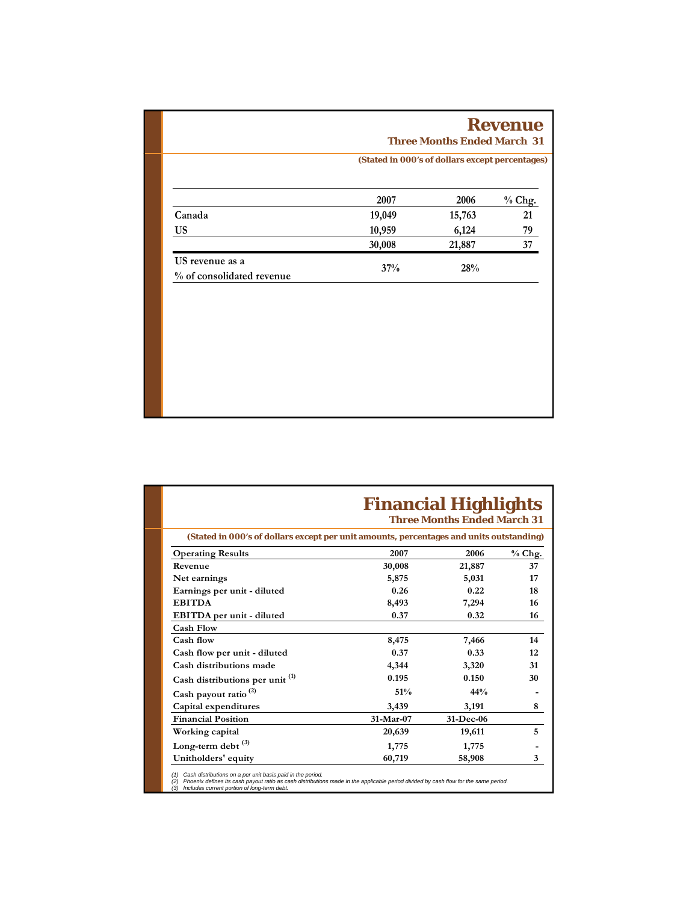|                                              |                                                 | <b>Three Months Ended March 31</b> | <b>Revenue</b> |  |
|----------------------------------------------|-------------------------------------------------|------------------------------------|----------------|--|
|                                              | (Stated in 000's of dollars except percentages) |                                    |                |  |
|                                              | 2007                                            | 2006                               | % Chg.         |  |
| Canada                                       | 19,049                                          | 15,763                             | 21             |  |
| <b>US</b>                                    | 10,959                                          | 6,124                              | 79             |  |
|                                              | 30,008                                          | 21,887                             | 37             |  |
| US revenue as a<br>% of consolidated revenue | 37%                                             | 28%                                |                |  |

|                                                                                         |           | <b>Financial Highlights</b><br><b>Three Months Ended March 31</b> |          |
|-----------------------------------------------------------------------------------------|-----------|-------------------------------------------------------------------|----------|
| (Stated in 000's of dollars except per unit amounts, percentages and units outstanding) |           |                                                                   |          |
| <b>Operating Results</b>                                                                | 2007      | 2006                                                              | $%$ Chg. |
| Revenue                                                                                 | 30,008    | 21,887                                                            | 37       |
| Net earnings                                                                            | 5,875     | 5,031                                                             | 17       |
| Earnings per unit - diluted                                                             | 0.26      | 0.22                                                              | 18       |
| <b>EBITDA</b>                                                                           | 8,493     | 7,294                                                             | 16       |
| EBITDA per unit - diluted                                                               | 0.37      | 0.32                                                              | 16       |
| <b>Cash Flow</b>                                                                        |           |                                                                   |          |
| Cash flow                                                                               | 8,475     | 7,466                                                             | 14       |
| Cash flow per unit - diluted                                                            | 0.37      | 0.33                                                              | 12       |
| Cash distributions made                                                                 | 4,344     | 3,320                                                             | 31       |
| Cash distributions per unit <sup>(1)</sup>                                              | 0.195     | 0.150                                                             | 30       |
| Cash payout ratio <sup>(2)</sup>                                                        | 51%       | 44%                                                               |          |
| Capital expenditures                                                                    | 3,439     | 3,191                                                             | 8        |
| <b>Financial Position</b>                                                               | 31-Mar-07 | 31-Dec-06                                                         |          |
| Working capital                                                                         | 20,639    | 19,611                                                            | 5        |
| Long-term debt $^{(3)}$                                                                 | 1,775     | 1,775                                                             |          |
| Unitholders' equity                                                                     | 60,719    | 58,908                                                            | 3        |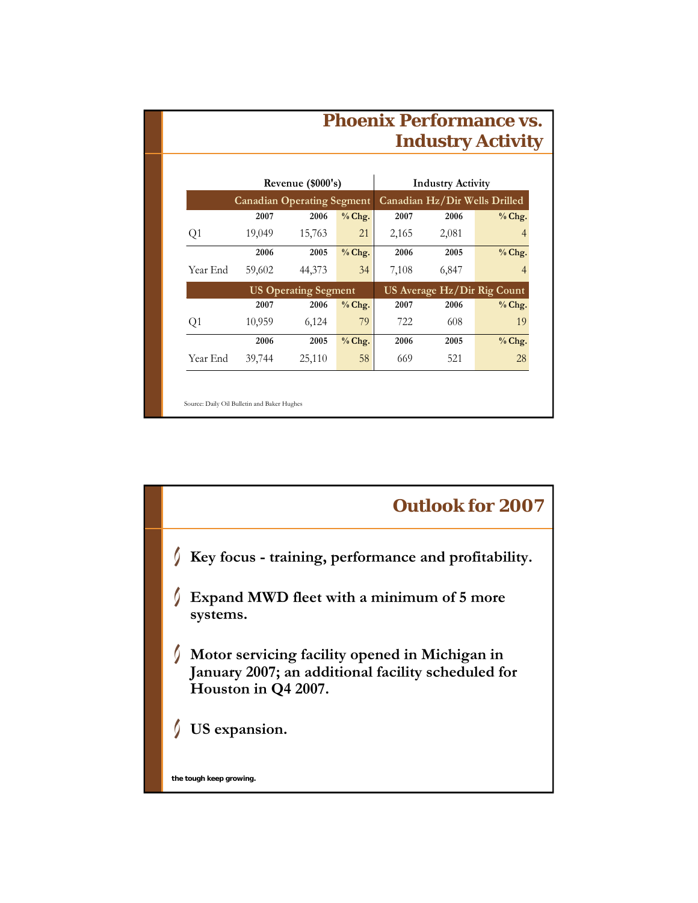|                | <b>Phoenix Performance vs.</b><br><b>Industry Activity</b> |                             |          |       |                          |                               |
|----------------|------------------------------------------------------------|-----------------------------|----------|-------|--------------------------|-------------------------------|
|                |                                                            | Revenue (\$000's)           |          |       | <b>Industry Activity</b> |                               |
|                | <b>Canadian Operating Segment</b>                          |                             |          |       |                          | Canadian Hz/Dir Wells Drilled |
|                | 2007                                                       | 2006                        | % Chg.   | 2007  | 2006                     | % Chg.                        |
| Q <sub>1</sub> | 19,049                                                     | 15,763                      | 21       | 2,165 | 2,081                    | 4                             |
|                | 2006                                                       | 2005                        | % Chg.   | 2006  | 2005                     | % Chg.                        |
| Year End       | 59,602                                                     | 44,373                      | 34       | 7,108 | 6,847                    | 4                             |
|                |                                                            | <b>US Operating Segment</b> |          |       |                          | US Average Hz/Dir Rig Count   |
|                | 2007                                                       | 2006                        | $%$ Chg. | 2007  | 2006                     | % Chg.                        |
| Q1             | 10,959                                                     | 6,124                       | 79       | 722   | 608                      | 19                            |
|                | 2006                                                       | 2005                        | $%$ Chg. | 2006  | 2005                     | % Chg.                        |
| Year End       | 39,744                                                     | 25,110                      | 58       | 669   | 521                      | 28                            |

![](_page_9_Figure_1.jpeg)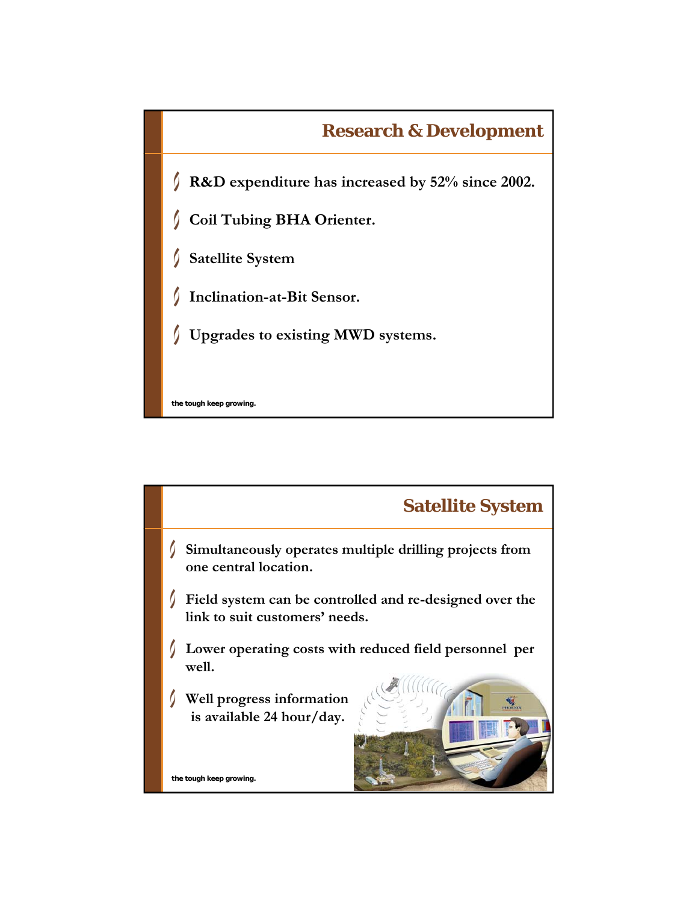![](_page_10_Figure_0.jpeg)

![](_page_10_Figure_1.jpeg)